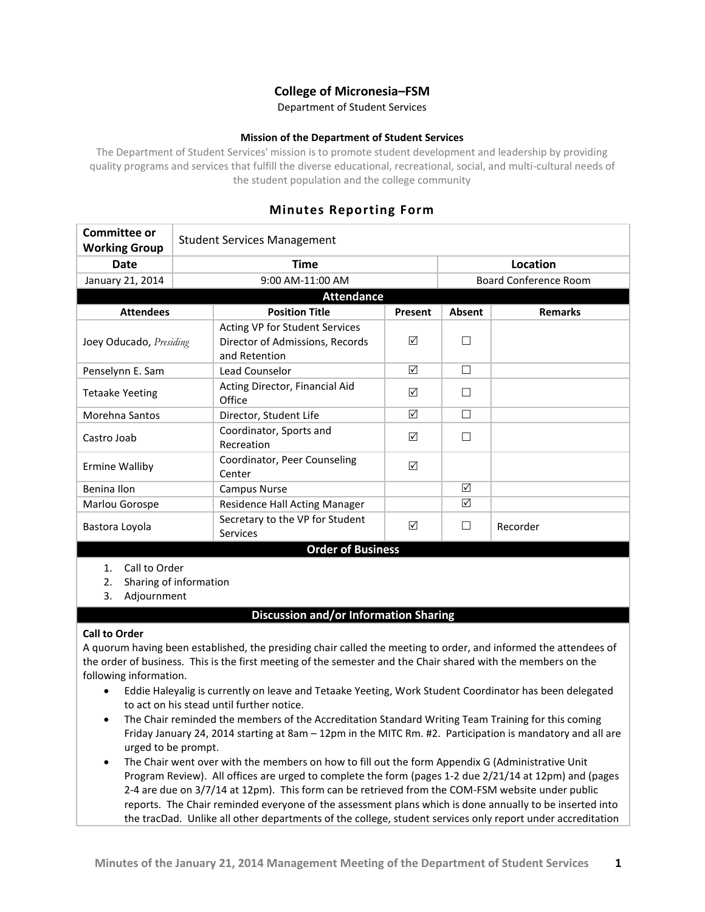# **College of Micronesia–FSM**

Department of Student Services

### **Mission of the Department of Student Services**

The Department of Student Services' mission is to promote student development and leadership by providing quality programs and services that fulfill the diverse educational, recreational, social, and multi-cultural needs of the student population and the college community

## **Minutes Reporting Form**

| Committee or<br><b>Working Group</b>                | <b>Student Services Management</b> |                                                                                    |         |                              |                |  |
|-----------------------------------------------------|------------------------------------|------------------------------------------------------------------------------------|---------|------------------------------|----------------|--|
| <b>Date</b>                                         |                                    | <b>Time</b>                                                                        |         |                              | Location       |  |
| January 21, 2014                                    |                                    | 9:00 AM-11:00 AM                                                                   |         | <b>Board Conference Room</b> |                |  |
| <b>Attendance</b>                                   |                                    |                                                                                    |         |                              |                |  |
| <b>Attendees</b>                                    |                                    | <b>Position Title</b>                                                              | Present | Absent                       | <b>Remarks</b> |  |
| Joey Oducado, Presiding                             |                                    | Acting VP for Student Services<br>Director of Admissions, Records<br>and Retention | ☑       |                              |                |  |
| Penselynn E. Sam                                    |                                    | Lead Counselor                                                                     | ☑       | $\Box$                       |                |  |
| <b>Tetaake Yeeting</b>                              |                                    | Acting Director, Financial Aid<br>Office                                           | ☑       | П                            |                |  |
| Morehna Santos                                      |                                    | Director, Student Life                                                             | ☑       | П                            |                |  |
| Castro Joab                                         |                                    | Coordinator, Sports and<br>Recreation                                              | ☑       | П                            |                |  |
| <b>Ermine Walliby</b>                               |                                    | Coordinator, Peer Counseling<br>Center                                             | ☑       |                              |                |  |
| Benina Ilon                                         |                                    | <b>Campus Nurse</b>                                                                |         | ☑                            |                |  |
| Marlou Gorospe                                      |                                    | Residence Hall Acting Manager                                                      |         | ☑                            |                |  |
| Bastora Loyola                                      |                                    | Secretary to the VP for Student<br><b>Services</b>                                 | ☑       | П                            | Recorder       |  |
| <b>Order of Business</b>                            |                                    |                                                                                    |         |                              |                |  |
| Call to Order<br>1.<br>Sharing of information<br>2. |                                    |                                                                                    |         |                              |                |  |

3. Adjournment

## **Discussion and/or Information Sharing**

### **Call to Order**

A quorum having been established, the presiding chair called the meeting to order, and informed the attendees of the order of business. This is the first meeting of the semester and the Chair shared with the members on the following information.

- Eddie Haleyalig is currently on leave and Tetaake Yeeting, Work Student Coordinator has been delegated to act on his stead until further notice.
- The Chair reminded the members of the Accreditation Standard Writing Team Training for this coming Friday January 24, 2014 starting at 8am – 12pm in the MITC Rm. #2. Participation is mandatory and all are urged to be prompt.
- The Chair went over with the members on how to fill out the form Appendix G (Administrative Unit Program Review). All offices are urged to complete the form (pages 1-2 due 2/21/14 at 12pm) and (pages 2-4 are due on 3/7/14 at 12pm). This form can be retrieved from the COM-FSM website under public reports. The Chair reminded everyone of the assessment plans which is done annually to be inserted into the tracDad. Unlike all other departments of the college, student services only report under accreditation